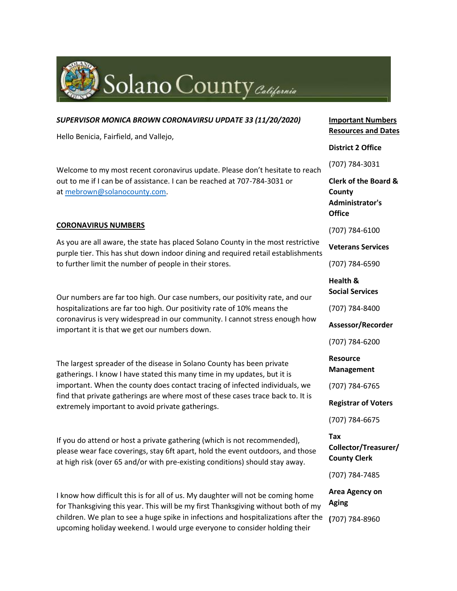

| SUPERVISOR MONICA BROWN CORONAVIRSU UPDATE 33 (11/20/2020)                                                                                                                                                                                                                                                          | Iη<br>Re                        |
|---------------------------------------------------------------------------------------------------------------------------------------------------------------------------------------------------------------------------------------------------------------------------------------------------------------------|---------------------------------|
| Hello Benicia, Fairfield, and Vallejo,                                                                                                                                                                                                                                                                              | Di                              |
| Welcome to my most recent coronavirus update. Please don't hesitate to reach                                                                                                                                                                                                                                        | (7)                             |
| out to me if I can be of assistance. I can be reached at 707-784-3031 or<br>at mebrown@solanocounty.com.                                                                                                                                                                                                            | Cl <sub>1</sub><br>Сc<br>A<br>O |
| <b>CORONAVIRUS NUMBERS</b>                                                                                                                                                                                                                                                                                          | (7)                             |
| As you are all aware, the state has placed Solano County in the most restrictive<br>purple tier. This has shut down indoor dining and required retail establishments<br>to further limit the number of people in their stores.                                                                                      | V                               |
|                                                                                                                                                                                                                                                                                                                     | (7)                             |
| Our numbers are far too high. Our case numbers, our positivity rate, and our<br>hospitalizations are far too high. Our positivity rate of 10% means the<br>coronavirus is very widespread in our community. I cannot stress enough how<br>important it is that we get our numbers down.                             | H<br>So                         |
|                                                                                                                                                                                                                                                                                                                     | (7)                             |
|                                                                                                                                                                                                                                                                                                                     | <b>As</b>                       |
|                                                                                                                                                                                                                                                                                                                     | (7)                             |
| The largest spreader of the disease in Solano County has been private<br>gatherings. I know I have stated this many time in my updates, but it is<br>important. When the county does contact tracing of infected individuals, we<br>find that private gatherings are where most of these cases trace back to. It is | Re<br>M                         |
|                                                                                                                                                                                                                                                                                                                     | (7)                             |

If you do attend or host a private gathering (which is not recommended), please wear face coverings, stay 6ft apart, hold the event outdoors, and those at high risk (over 65 and/or with pre-existing conditions) should stay away.

extremely important to avoid private gatherings.

I know how difficult this is for all of us. My daughter will not be coming home for Thanksgiving this year. This will be my first Thanksgiving without both of my children. We plan to see a huge spike in infections and hospitalizations after the upcoming holiday weekend. I would urge everyone to consider holding their

**Important Numbers Resources and Dates**

### **District 2 Office**

(707) 784-3031

**Clerk of the Board & County Administrator's Office**

(707) 784-6100

**Veterans Services**

(707) 784-6590

**Health & Social Services**

(707) 784-8400

**Assessor/Recorder**

(707) 784-6200

**Resource Management**

(707) 784-6765

**Registrar of Voters**

(707) 784-6675

**Tax Collector/Treasurer/ County Clerk**

(707) 784-7485

**Area Agency on Aging**

**(**707) 784-8960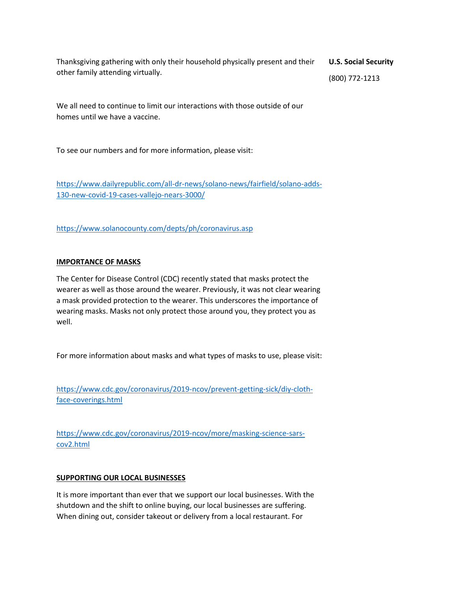Thanksgiving gathering with only their household physically present and their other family attending virtually. **U.S. Social Security**

(800) 772-1213

We all need to continue to limit our interactions with those outside of our homes until we have a vaccine.

To see our numbers and for more information, please visit:

[https://www.dailyrepublic.com/all-dr-news/solano-news/fairfield/solano-adds-](https://www.dailyrepublic.com/all-dr-news/solano-news/fairfield/solano-adds-130-new-covid-19-cases-vallejo-nears-3000/)[130-new-covid-19-cases-vallejo-nears-3000/](https://www.dailyrepublic.com/all-dr-news/solano-news/fairfield/solano-adds-130-new-covid-19-cases-vallejo-nears-3000/)

<https://www.solanocounty.com/depts/ph/coronavirus.asp>

## **IMPORTANCE OF MASKS**

The Center for Disease Control (CDC) recently stated that masks protect the wearer as well as those around the wearer. Previously, it was not clear wearing a mask provided protection to the wearer. This underscores the importance of wearing masks. Masks not only protect those around you, they protect you as well.

For more information about masks and what types of masks to use, please visit:

[https://www.cdc.gov/coronavirus/2019-ncov/prevent-getting-sick/diy-cloth](https://www.cdc.gov/coronavirus/2019-ncov/prevent-getting-sick/diy-cloth-face-coverings.html)[face-coverings.html](https://www.cdc.gov/coronavirus/2019-ncov/prevent-getting-sick/diy-cloth-face-coverings.html)

[https://www.cdc.gov/coronavirus/2019-ncov/more/masking-science-sars](https://www.cdc.gov/coronavirus/2019-ncov/more/masking-science-sars-cov2.html)[cov2.html](https://www.cdc.gov/coronavirus/2019-ncov/more/masking-science-sars-cov2.html)

### **SUPPORTING OUR LOCAL BUSINESSES**

It is more important than ever that we support our local businesses. With the shutdown and the shift to online buying, our local businesses are suffering. When dining out, consider takeout or delivery from a local restaurant. For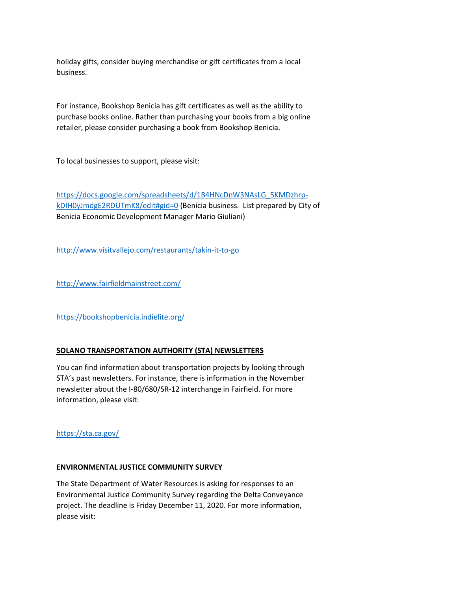holiday gifts, consider buying merchandise or gift certificates from a local business.

For instance, Bookshop Benicia has gift certificates as well as the ability to purchase books online. Rather than purchasing your books from a big online retailer, please consider purchasing a book from Bookshop Benicia.

To local businesses to support, please visit:

[https://docs.google.com/spreadsheets/d/1B4HNcDnW3NAsLG\\_5KMDzhrp](https://docs.google.com/spreadsheets/d/1B4HNcDnW3NAsLG_5KMDzhrp-kDIH0yJmdgE2RDUTmK8/edit#gid=0)[kDIH0yJmdgE2RDUTmK8/edit#gid=0](https://docs.google.com/spreadsheets/d/1B4HNcDnW3NAsLG_5KMDzhrp-kDIH0yJmdgE2RDUTmK8/edit#gid=0) (Benicia business. List prepared by City of Benicia Economic Development Manager Mario Giuliani)

<http://www.visitvallejo.com/restaurants/takin-it-to-go>

<http://www.fairfieldmainstreet.com/>

<https://bookshopbenicia.indielite.org/>

# **SOLANO TRANSPORTATION AUTHORITY (STA) NEWSLETTERS**

You can find information about transportation projects by looking through STA's past newsletters. For instance, there is information in the November newsletter about the I-80/680/SR-12 interchange in Fairfield. For more information, please visit:

<https://sta.ca.gov/>

### **ENVIRONMENTAL JUSTICE COMMUNITY SURVEY**

The State Department of Water Resources is asking for responses to an Environmental Justice Community Survey regarding the Delta Conveyance project. The deadline is Friday December 11, 2020. For more information, please visit: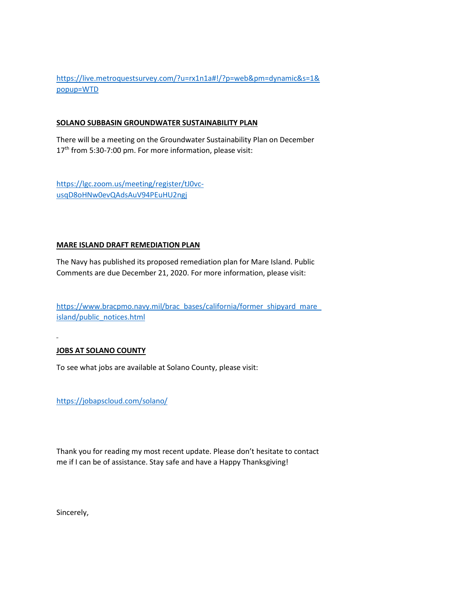[https://live.metroquestsurvey.com/?u=rx1n1a#!/?p=web&pm=dynamic&s=1&](https://live.metroquestsurvey.com/?u=rx1n1a#!/?p=web&pm=dynamic&s=1&popup=WTD) [popup=WTD](https://live.metroquestsurvey.com/?u=rx1n1a#!/?p=web&pm=dynamic&s=1&popup=WTD)

## **SOLANO SUBBASIN GROUNDWATER SUSTAINABILITY PLAN**

There will be a meeting on the Groundwater Sustainability Plan on December 17<sup>th</sup> from 5:30-7:00 pm. For more information, please visit:

[https://lgc.zoom.us/meeting/register/tJ0vc](https://lgc.zoom.us/meeting/register/tJ0vc-usqD8oHNw0evQAdsAuV94PEuHU2ngj)[usqD8oHNw0evQAdsAuV94PEuHU2ngj](https://lgc.zoom.us/meeting/register/tJ0vc-usqD8oHNw0evQAdsAuV94PEuHU2ngj)

## **MARE ISLAND DRAFT REMEDIATION PLAN**

The Navy has published its proposed remediation plan for Mare Island. Public Comments are due December 21, 2020. For more information, please visit:

[https://www.bracpmo.navy.mil/brac\\_bases/california/former\\_shipyard\\_mare\\_](https://www.bracpmo.navy.mil/brac_bases/california/former_shipyard_mare_island/public_notices.html) [island/public\\_notices.html](https://www.bracpmo.navy.mil/brac_bases/california/former_shipyard_mare_island/public_notices.html)

# **JOBS AT SOLANO COUNTY**

To see what jobs are available at Solano County, please visit:

<https://jobapscloud.com/solano/>

Thank you for reading my most recent update. Please don't hesitate to contact me if I can be of assistance. Stay safe and have a Happy Thanksgiving!

Sincerely,